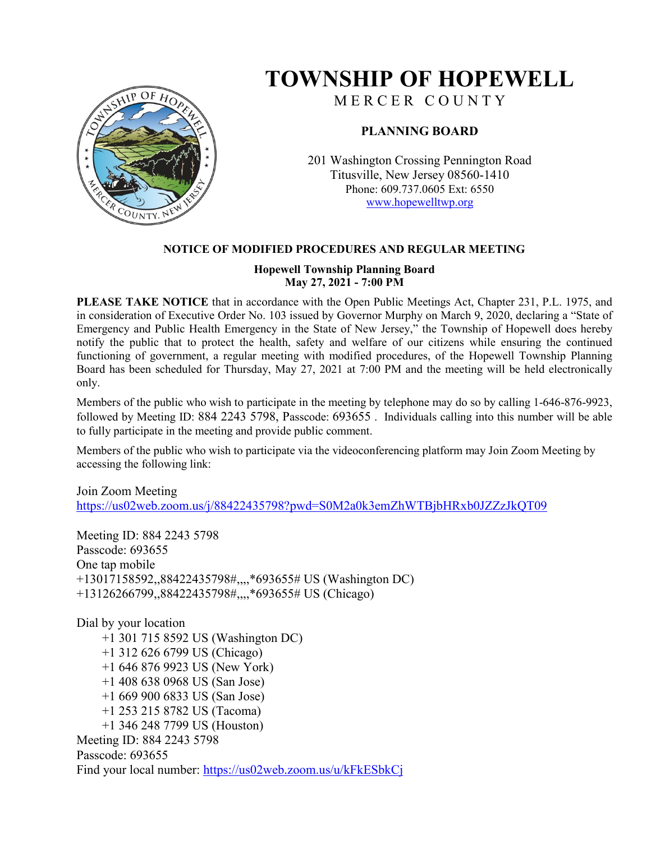

## **TOWNSHIP OF HOPEWELL**

M E R C E R C O U N T Y

## **PLANNING BOARD**

201 Washington Crossing Pennington Road Titusville, New Jersey 08560-1410 Phone: 609.737.0605 Ext: 6550 [www.hopewelltwp.org](http://www.hopewelltwp.org/)

## **NOTICE OF MODIFIED PROCEDURES AND REGULAR MEETING**

#### **Hopewell Township Planning Board May 27, 2021 - 7:00 PM**

**PLEASE TAKE NOTICE** that in accordance with the Open Public Meetings Act, Chapter 231, P.L. 1975, and in consideration of Executive Order No. 103 issued by Governor Murphy on March 9, 2020, declaring a "State of Emergency and Public Health Emergency in the State of New Jersey," the Township of Hopewell does hereby notify the public that to protect the health, safety and welfare of our citizens while ensuring the continued functioning of government, a regular meeting with modified procedures, of the Hopewell Township Planning Board has been scheduled for Thursday, May 27, 2021 at 7:00 PM and the meeting will be held electronically only.

Members of the public who wish to participate in the meeting by telephone may do so by calling 1-646-876-9923, followed by Meeting ID: 884 2243 5798, Passcode: 693655 . Individuals calling into this number will be able to fully participate in the meeting and provide public comment.

Members of the public who wish to participate via the videoconferencing platform may Join Zoom Meeting by accessing the following link:

## Join Zoom Meeting <https://us02web.zoom.us/j/88422435798?pwd=S0M2a0k3emZhWTBjbHRxb0JZZzJkQT09>

Meeting ID: 884 2243 5798 Passcode: 693655 One tap mobile +13017158592,,88422435798#,,,,\*693655# US (Washington DC) +13126266799,,88422435798#,,,,\*693655# US (Chicago)

Dial by your location +1 301 715 8592 US (Washington DC) +1 312 626 6799 US (Chicago) +1 646 876 9923 US (New York) +1 408 638 0968 US (San Jose) +1 669 900 6833 US (San Jose) +1 253 215 8782 US (Tacoma) +1 346 248 7799 US (Houston) Meeting ID: 884 2243 5798 Passcode: 693655 Find your local number:<https://us02web.zoom.us/u/kFkESbkCj>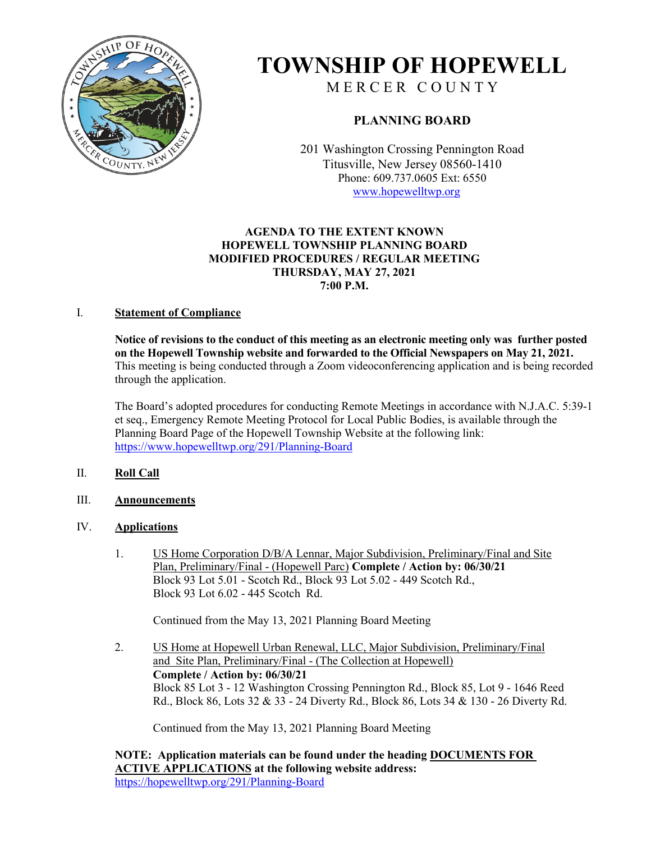

# **TOWNSHIP OF HOPEWELL**

M E R C E R C O U N T Y

## **PLANNING BOARD**

201 Washington Crossing Pennington Road Titusville, New Jersey 08560-1410 Phone: 609.737.0605 Ext: 6550 [www.hopewelltwp.org](http://www.hopewelltwp.org/)

#### **AGENDA TO THE EXTENT KNOWN HOPEWELL TOWNSHIP PLANNING BOARD MODIFIED PROCEDURES / REGULAR MEETING THURSDAY, MAY 27, 2021 7:00 P.M.**

#### I. **Statement of Compliance**

**Notice of revisions to the conduct of this meeting as an electronic meeting only was further posted on the Hopewell Township website and forwarded to the Official Newspapers on May 21, 2021.**  This meeting is being conducted through a Zoom videoconferencing application and is being recorded through the application.

The Board's adopted procedures for conducting Remote Meetings in accordance with N.J.A.C. 5:39-1 et seq., Emergency Remote Meeting Protocol for Local Public Bodies, is available through the Planning Board Page of the Hopewell Township Website at the following link: <https://www.hopewelltwp.org/291/Planning-Board>

### II. **Roll Call**

III. **Announcements**

#### IV. **Applications**

1. US Home Corporation D/B/A Lennar, Major Subdivision, Preliminary/Final and Site Plan, Preliminary/Final - (Hopewell Parc) **Complete / Action by: 06/30/21** Block 93 Lot 5.01 - Scotch Rd., Block 93 Lot 5.02 - 449 Scotch Rd., Block 93 Lot 6.02 - 445 Scotch Rd.

Continued from the May 13, 2021 Planning Board Meeting

2. US Home at Hopewell Urban Renewal, LLC, Major Subdivision, Preliminary/Final and Site Plan, Preliminary/Final - (The Collection at Hopewell) **Complete / Action by: 06/30/21** Block 85 Lot 3 - 12 Washington Crossing Pennington Rd., Block 85, Lot 9 - 1646 Reed Rd., Block 86, Lots 32 & 33 - 24 Diverty Rd., Block 86, Lots 34 & 130 - 26 Diverty Rd.

Continued from the May 13, 2021 Planning Board Meeting

**NOTE: Application materials can be found under the heading DOCUMENTS FOR ACTIVE APPLICATIONS at the following website address:** [https://hopewelltwp.org/291/Planning-Board](http://hopewelltwp.org/291/Planning-Board)